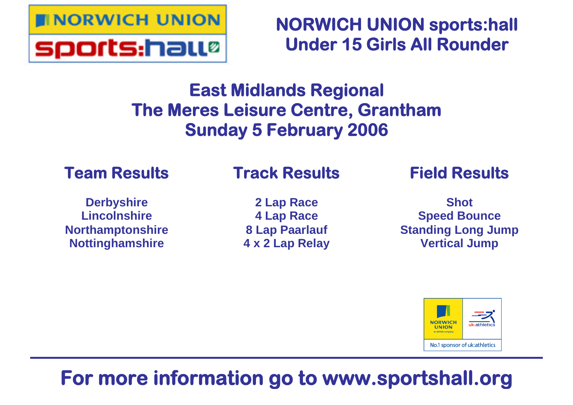

**NORWICH UNION sports:hall Under 15 Girls All Rounder**

# **East Midlands Regional The Meres Leisure Centre, Grantham Sunday 5 February 2006**

# **Team Results**

# **Track Results**

**Derbyshire Lincolnshire Northamptonshire Nottinghamshire**

**2 Lap Race 4 Lap Race 8 Lap Paarlauf 4 x 2 Lap Relay** **Field Results**

**Shot Speed Bounce Standing Long Jump Vertical Jump**



# **For more information go to www.sportshall.org**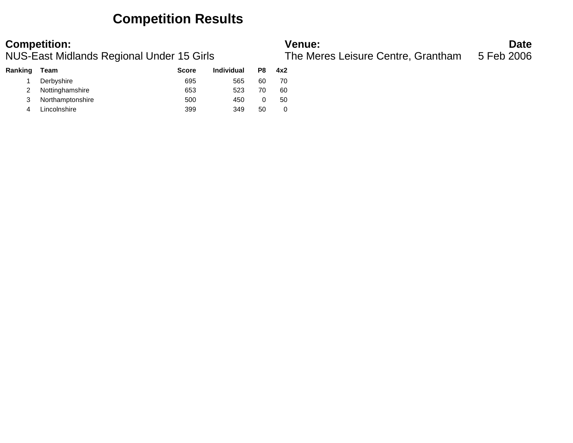## **Competition Results**

| Ranking | Team             | <b>Score</b> | <b>Individual</b> | P8 | 4x2 |
|---------|------------------|--------------|-------------------|----|-----|
|         | Derbyshire       | 695          | 565               | 60 | 70  |
|         | Nottinghamshire  | 653          | 523               | 70 | 60  |
| 3       | Northamptonshire | 500          | 450               |    | 50  |
| 4       | Lincolnshire     | 399          | 349               | 50 |     |

**Competition: Date**<br>**NUS-East Midlands Regional Under 15 Girls Date**<br>**The Meres Leisure Centre, Grantham** 5 Feb 2006 NUS-East Midlands Regional Under 15 Girls The Meres Leisure Centre, Grantham 5 Feb 2006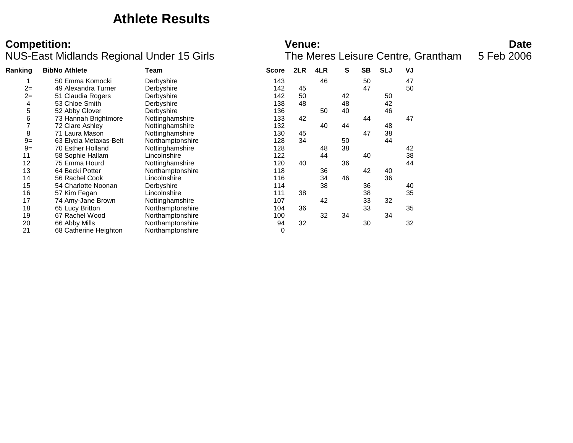### **Athlete Results**

### **Competition: Date**<br>**NUS-East Midlands Regional Under 15 Girls Date**<br>**The Meres Leisure Centre, Grantham** 5 Feb 2006 NUS-East Midlands Regional Under 15 Girls

| Ranking | <b>BibNo Athlete</b>   | Team             | <b>Score</b> | 2LR | 4LR | S  | <b>SB</b> | <b>SLJ</b> | VJ |
|---------|------------------------|------------------|--------------|-----|-----|----|-----------|------------|----|
|         | 50 Emma Komocki        | Derbyshire       | 143          |     | 46  |    | 50        |            | 47 |
| $2=$    | 49 Alexandra Turner    | Derbyshire       | 142          | 45  |     |    | 47        |            | 50 |
| $2=$    | 51 Claudia Rogers      | Derbyshire       | 142          | 50  |     | 42 |           | 50         |    |
| 4       | 53 Chloe Smith         | Derbyshire       | 138          | 48  |     | 48 |           | 42         |    |
| 5       | 52 Abby Glover         | Derbyshire       | 136          |     | 50  | 40 |           | 46         |    |
| 6       | 73 Hannah Brightmore   | Nottinghamshire  | 133          | 42  |     |    | 44        |            | 47 |
|         | 72 Clare Ashley        | Nottinghamshire  | 132          |     | 40  | 44 |           | 48         |    |
| 8       | 71 Laura Mason         | Nottinghamshire  | 130          | 45  |     |    | 47        | 38         |    |
| $9=$    | 63 Elycia Metaxas-Belt | Northamptonshire | 128          | 34  |     | 50 |           | 44         |    |
| $9=$    | 70 Esther Holland      | Nottinghamshire  | 128          |     | 48  | 38 |           |            | 42 |
| 11      | 58 Sophie Hallam       | Lincolnshire     | 122          |     | 44  |    | 40        |            | 38 |
| 12      | 75 Emma Hourd          | Nottinghamshire  | 120          | 40  |     | 36 |           |            | 44 |
| 13      | 64 Becki Potter        | Northamptonshire | 118          |     | 36  |    | 42        | 40         |    |
| 14      | 56 Rachel Cook         | Lincolnshire     | 116          |     | 34  | 46 |           | 36         |    |
| 15      | 54 Charlotte Noonan    | Derbyshire       | 114          |     | 38  |    | 36        |            | 40 |
| 16      | 57 Kim Fegan           | Lincolnshire     | 111          | 38  |     |    | 38        |            | 35 |
| 17      | 74 Amy-Jane Brown      | Nottinghamshire  | 107          |     | 42  |    | 33        | 32         |    |
| 18      | 65 Lucy Britton        | Northamptonshire | 104          | 36  |     |    | 33        |            | 35 |
| 19      | 67 Rachel Wood         | Northamptonshire | 100          |     | 32  | 34 |           | 34         |    |
| 20      | 66 Abby Mills          | Northamptonshire | 94           | 32  |     |    | 30        |            | 32 |
| 21      | 68 Catherine Heighton  | Northamptonshire | 0            |     |     |    |           |            |    |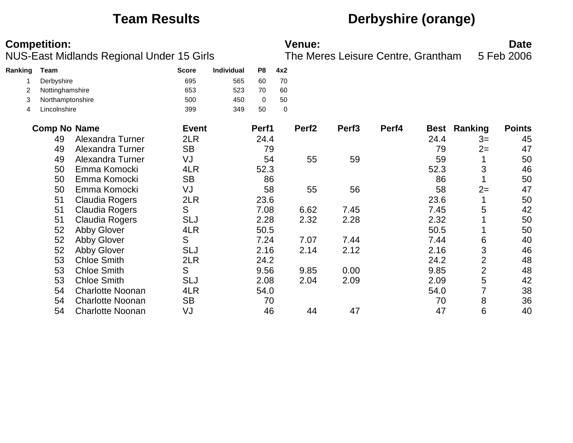# **Team Results Derbyshire (orange)**

**Competition: Date**<br>**NUS-East Midlands Regional Under 15 Girls Date**<br>**The Meres Leisure Centre, Grantham** 5 Feb 2006 NUS-East Midlands Regional Under 15 Girls The Meres Leisure Centre, Grantham 5 Feb 2006

| Ranking | Team             | <b>Score</b> | <b>Individual</b> | P8 | 4x2 |
|---------|------------------|--------------|-------------------|----|-----|
|         | Derbyshire       | 695          | 565               | 60 | 70  |
|         | Nottinghamshire  | 653          | 523               | 70 | 60  |
|         | Northamptonshire | 500          | 450               |    | 50  |
| 4       | Lincolnshire     | 399          | 349               | 50 | 0   |

| <b>Comp No Name</b> |                         | <b>Event</b> | Perf1 | Perf <sub>2</sub> | Perf <sub>3</sub> | Perf4 |      | <b>Best Ranking</b> | <b>Points</b> |
|---------------------|-------------------------|--------------|-------|-------------------|-------------------|-------|------|---------------------|---------------|
| 49                  | Alexandra Turner        | 2LR          | 24.4  |                   |                   |       | 24.4 | $3=$                | 45            |
| 49                  | Alexandra Turner        | <b>SB</b>    | 79    |                   |                   |       | 79   | $2=$                | 47            |
| 49                  | Alexandra Turner        | VJ           | 54    | 55                | 59                |       | 59   |                     | 50            |
| 50                  | Emma Komocki            | 4LR          | 52.3  |                   |                   |       | 52.3 | 3                   | 46            |
| 50                  | Emma Komocki            | <b>SB</b>    | 86    |                   |                   |       | 86   |                     | 50            |
| 50                  | Emma Komocki            | VJ           | 58    | 55                | 56                |       | 58   | $2=$                | 47            |
| 51                  | <b>Claudia Rogers</b>   | 2LR          | 23.6  |                   |                   |       | 23.6 |                     | 50            |
| 51                  | Claudia Rogers          | S            | 7.08  | 6.62              | 7.45              |       | 7.45 | 5                   | 42            |
| 51                  | Claudia Rogers          | SLJ          | 2.28  | 2.32              | 2.28              |       | 2.32 |                     | 50            |
| 52                  | <b>Abby Glover</b>      | 4LR          | 50.5  |                   |                   |       | 50.5 |                     | 50            |
| 52                  | <b>Abby Glover</b>      | S            | 7.24  | 7.07              | 7.44              |       | 7.44 | 6                   | 40            |
| 52                  | <b>Abby Glover</b>      | SLJ          | 2.16  | 2.14              | 2.12              |       | 2.16 | 3                   | 46            |
| 53                  | <b>Chloe Smith</b>      | 2LR          | 24.2  |                   |                   |       | 24.2 | $\overline{2}$      | 48            |
| 53                  | <b>Chloe Smith</b>      | S            | 9.56  | 9.85              | 0.00              |       | 9.85 | $\overline{2}$      | 48            |
| 53                  | <b>Chloe Smith</b>      | SLJ          | 2.08  | 2.04              | 2.09              |       | 2.09 | 5                   | 42            |
| 54                  | <b>Charlotte Noonan</b> | 4LR          | 54.0  |                   |                   |       | 54.0 |                     | 38            |
| 54                  | <b>Charlotte Noonan</b> | <b>SB</b>    | 70    |                   |                   |       | 70   | 8                   | 36            |
| 54                  | <b>Charlotte Noonan</b> | VJ           | 46    | 44                | 47                |       | 47   | 6                   | 40            |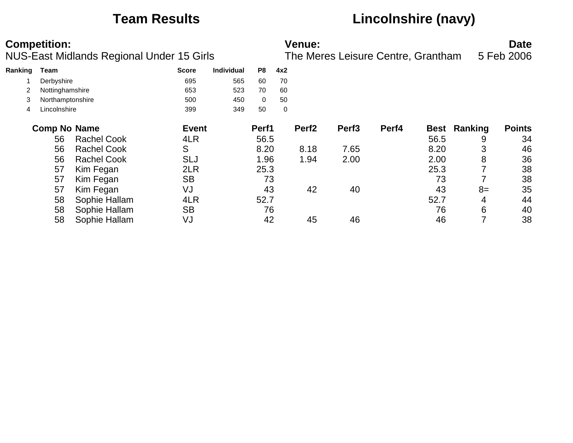# **Team Results Lincolnshire (navy)**

|         | <b>Competition:</b><br><b>NUS-East Midlands Regional Under 15 Girls</b> |                    |              |                   |       | Venue:<br>The Meres Leisure Centre, Grantham |                   |                   |       |      |         | <b>Date</b><br>5 Feb 2006 |
|---------|-------------------------------------------------------------------------|--------------------|--------------|-------------------|-------|----------------------------------------------|-------------------|-------------------|-------|------|---------|---------------------------|
| Ranking | Team                                                                    |                    | <b>Score</b> | <b>Individual</b> | P8    | 4x2                                          |                   |                   |       |      |         |                           |
|         | Derbyshire                                                              |                    | 695          | 565               | 60    | 70                                           |                   |                   |       |      |         |                           |
|         | Nottinghamshire                                                         |                    | 653          | 523               | 70    | 60                                           |                   |                   |       |      |         |                           |
| 3       | Northamptonshire                                                        |                    | 500          | 450               | 0     | 50                                           |                   |                   |       |      |         |                           |
| 4       | Lincolnshire                                                            |                    | 399          | 349               | 50    | 0                                            |                   |                   |       |      |         |                           |
|         | <b>Comp No Name</b>                                                     |                    | <b>Event</b> |                   | Perf1 |                                              | Perf <sub>2</sub> | Perf <sub>3</sub> | Perf4 | Best | Ranking | <b>Points</b>             |
|         | 56                                                                      | <b>Rachel Cook</b> | 4LR          |                   | 56.5  |                                              |                   |                   |       | 56.5 | 9       | 34                        |
|         | 56                                                                      | <b>Rachel Cook</b> | S            |                   | 8.20  |                                              | 8.18              | 7.65              |       | 8.20 | 3       | 46                        |
|         | 56                                                                      | <b>Rachel Cook</b> | <b>SLJ</b>   |                   | 1.96  |                                              | 1.94              | 2.00              |       | 2.00 | 8       | 36                        |
|         | 57                                                                      | Kim Fegan          | 2LR          |                   | 25.3  |                                              |                   |                   |       | 25.3 |         | 38                        |
|         | 57                                                                      | Kim Fegan          | <b>SB</b>    |                   | 73    |                                              |                   |                   |       | 73   |         | 38                        |
|         | 57                                                                      | Kim Fegan          | VJ           |                   | 43    |                                              | 42                | 40                |       | 43   | $8=$    | 35                        |
|         | 58                                                                      | Sophie Hallam      | 4LR          |                   | 52.7  |                                              |                   |                   |       | 52.7 | 4       | 44                        |
|         | 58                                                                      | Sophie Hallam      | <b>SB</b>    |                   | 76    |                                              |                   |                   |       | 76   | 6       | 40                        |
|         | 58                                                                      | Sophie Hallam      | VJ           |                   | 42    |                                              | 45                | 46                |       | 46   | 7       | 38                        |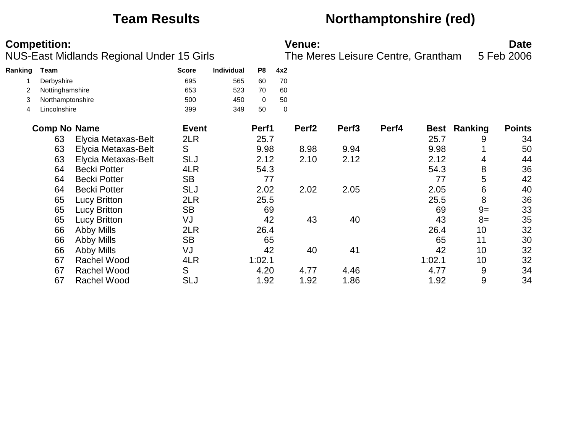# **Team Results Northamptonshire (red)**

| <b>Competition:</b> | <b>Venue:</b> | Date |
|---------------------|---------------|------|
|                     |               |      |

NUS-East Midlands Regional Under 15 Girls The Meres Leisure Centre, Grantham 5 Feb 2006

| Ranking | Team                |                     | <b>Score</b> | <b>Individual</b> | P8     | 4x2         |                   |                   |       |             |         |               |
|---------|---------------------|---------------------|--------------|-------------------|--------|-------------|-------------------|-------------------|-------|-------------|---------|---------------|
|         | Derbyshire          |                     | 695          | 565               | 60     | 70          |                   |                   |       |             |         |               |
|         | Nottinghamshire     |                     | 653          | 523               | 70     | 60          |                   |                   |       |             |         |               |
| 3       | Northamptonshire    |                     | 500          | 450               | 0      | 50          |                   |                   |       |             |         |               |
| 4       | Lincolnshire        |                     | 399          | 349               | 50     | $\mathbf 0$ |                   |                   |       |             |         |               |
|         | <b>Comp No Name</b> |                     | <b>Event</b> |                   | Perf1  |             | Perf <sub>2</sub> | Perf <sub>3</sub> | Perf4 | <b>Best</b> | Ranking | <b>Points</b> |
|         | 63                  | Elycia Metaxas-Belt | 2LR          |                   | 25.7   |             |                   |                   |       | 25.7        | 9       | 34            |
|         | 63                  | Elycia Metaxas-Belt | S            |                   | 9.98   |             | 8.98              | 9.94              |       | 9.98        |         | 50            |
|         | 63                  | Elycia Metaxas-Belt | <b>SLJ</b>   |                   | 2.12   |             | 2.10              | 2.12              |       | 2.12        | 4       | 44            |
|         | 64                  | <b>Becki Potter</b> | 4LR          |                   | 54.3   |             |                   |                   |       | 54.3        | 8       | 36            |
|         | 64                  | <b>Becki Potter</b> | <b>SB</b>    |                   | 77     |             |                   |                   |       | 77          | 5       | 42            |
|         | 64                  | <b>Becki Potter</b> | <b>SLJ</b>   |                   | 2.02   |             | 2.02              | 2.05              |       | 2.05        | 6       | 40            |
|         | 65                  | <b>Lucy Britton</b> | 2LR          |                   | 25.5   |             |                   |                   |       | 25.5        | 8       | 36            |
|         | 65                  | <b>Lucy Britton</b> | <b>SB</b>    |                   | 69     |             |                   |                   |       | 69          | $9=$    | 33            |
|         | 65                  | <b>Lucy Britton</b> | VJ           |                   | 42     |             | 43                | 40                |       | 43          | $8=$    | 35            |
|         | 66                  | <b>Abby Mills</b>   | 2LR          |                   | 26.4   |             |                   |                   |       | 26.4        | 10      | 32            |
|         | 66                  | Abby Mills          | <b>SB</b>    |                   | 65     |             |                   |                   |       | 65          | 11      | 30            |
|         | 66                  | <b>Abby Mills</b>   | VJ           |                   | 42     |             | 40                | 41                |       | 42          | 10      | 32            |
|         | 67                  | <b>Rachel Wood</b>  | 4LR          |                   | 1:02.1 |             |                   |                   |       | 1:02.1      | 10      | 32            |
|         | 67                  | <b>Rachel Wood</b>  | S            |                   | 4.20   |             | 4.77              | 4.46              |       | 4.77        | 9       | 34            |
|         | 67                  | <b>Rachel Wood</b>  | <b>SLJ</b>   |                   | 1.92   |             | 1.92              | 1.86              |       | 1.92        | 9       | 34            |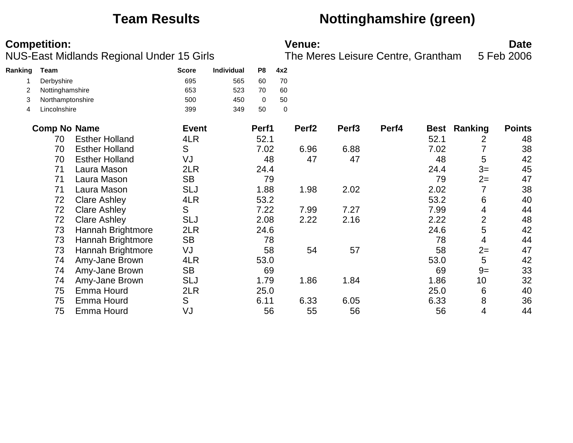## **Team Results Nottinghamshire (green)**

| Ranking        | Team                |                       | <b>Score</b> | Individual | P <sub>8</sub> | 4x2 |                   |                   |       |             |                |               |
|----------------|---------------------|-----------------------|--------------|------------|----------------|-----|-------------------|-------------------|-------|-------------|----------------|---------------|
|                | Derbyshire          |                       | 695          | 565        | 60             | 70  |                   |                   |       |             |                |               |
| $\overline{2}$ | Nottinghamshire     |                       | 653          | 523        | 70             | 60  |                   |                   |       |             |                |               |
| 3              | Northamptonshire    |                       | 500          | 450        | $\Omega$       | 50  |                   |                   |       |             |                |               |
| 4              | Lincolnshire        |                       | 399          | 349        | 50             | 0   |                   |                   |       |             |                |               |
|                | <b>Comp No Name</b> |                       | <b>Event</b> |            | Perf1          |     | Perf <sub>2</sub> | Perf <sub>3</sub> | Perf4 | <b>Best</b> | Ranking        | <b>Points</b> |
|                | 70                  | <b>Esther Holland</b> | 4LR          |            | 52.1           |     |                   |                   |       | 52.1        | 2              | 48            |
|                | 70                  | <b>Esther Holland</b> | S            |            | 7.02           |     | 6.96              | 6.88              |       | 7.02        |                | 38            |
|                | 70                  | <b>Esther Holland</b> | VJ           |            | 48             |     | 47                | 47                |       | 48          | 5              | 42            |
|                | 71                  | Laura Mason           | 2LR          |            | 24.4           |     |                   |                   |       | 24.4        | $3=$           | 45            |
|                | 71                  | Laura Mason           | <b>SB</b>    |            | 79             |     |                   |                   |       | 79          | $2=$           | 47            |
|                | 71                  | Laura Mason           | <b>SLJ</b>   |            | 1.88           |     | 1.98              | 2.02              |       | 2.02        | 7              | 38            |
|                | 72                  | <b>Clare Ashley</b>   | 4LR          |            | 53.2           |     |                   |                   |       | 53.2        | 6              | 40            |
|                | 72                  | <b>Clare Ashley</b>   | S            |            | 7.22           |     | 7.99              | 7.27              |       | 7.99        | 4              | 44            |
|                | 72                  | <b>Clare Ashley</b>   | <b>SLJ</b>   |            | 2.08           |     | 2.22              | 2.16              |       | 2.22        | $\overline{2}$ | 48            |
|                | 73                  | Hannah Brightmore     | 2LR          |            | 24.6           |     |                   |                   |       | 24.6        | 5              | 42            |
|                | 73                  | Hannah Brightmore     | <b>SB</b>    |            | 78             |     |                   |                   |       | 78          | 4              | 44            |
|                | 73                  | Hannah Brightmore     | VJ           |            | 58             |     | 54                | 57                |       | 58          | $2=$           | 47            |
|                | 74                  | Amy-Jane Brown        | 4LR          |            | 53.0           |     |                   |                   |       | 53.0        | 5              | 42            |
|                | 74                  | Amy-Jane Brown        | <b>SB</b>    |            | 69             |     |                   |                   |       | 69          | $9=$           | 33            |
|                | 74                  | Amy-Jane Brown        | <b>SLJ</b>   |            | 1.79           |     | 1.86              | 1.84              |       | 1.86        | 10             | 32            |
|                | 75                  | Emma Hourd            | 2LR          |            | 25.0           |     |                   |                   |       | 25.0        | 6              | 40            |
|                | 75                  | Emma Hourd            | S            |            | 6.11           |     | 6.33              | 6.05              |       | 6.33        | 8              | 36            |
|                | 75                  | Emma Hourd            | VJ           |            | 56             |     | 55                | 56                |       | 56          | 4              | 44            |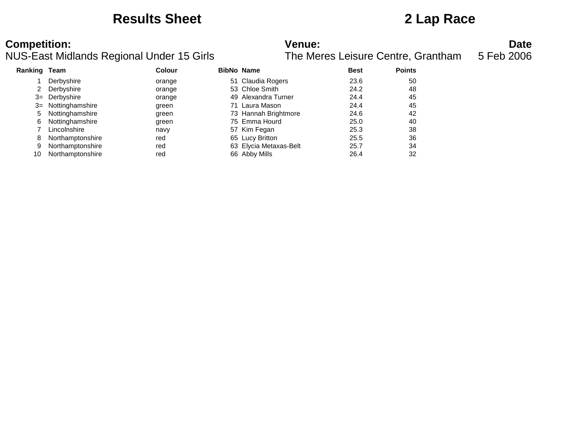### **Results Sheet 2 Lap Race**

### NUS-East Midlands Regional Under 15 Girls

**Competition: Date**<br>**NUS-East Midlands Regional Under 15 Girls Date**<br>**The Meres Leisure Centre, Grantham** 5 Feb 2006

| <b>Ranking Team</b> |                    | Colour | <b>BibNo Name</b>      | <b>Best</b> | <b>Points</b> |
|---------------------|--------------------|--------|------------------------|-------------|---------------|
|                     | Derbyshire         | orange | 51 Claudia Rogers      | 23.6        | 50            |
|                     | Derbyshire         | orange | 53 Chloe Smith         | 24.2        | 48            |
| $3=$                | Derbyshire         | orange | 49 Alexandra Turner    | 24.4        | 45            |
|                     | 3= Nottinghamshire | green  | 71 Laura Mason         | 24.4        | 45            |
| 5                   | Nottinghamshire    | green  | 73 Hannah Brightmore   | 24.6        | 42            |
| 6                   | Nottinghamshire    | green  | 75 Emma Hourd          | 25.0        | 40            |
|                     | Lincolnshire       | navy   | 57 Kim Fegan           | 25.3        | 38            |
| 8                   | Northamptonshire   | red    | 65 Lucy Britton        | 25.5        | 36            |
| 9                   | Northamptonshire   | red    | 63 Elycia Metaxas-Belt | 25.7        | 34            |
| 10                  | Northamptonshire   | red    | 66 Abby Mills          | 26.4        | 32            |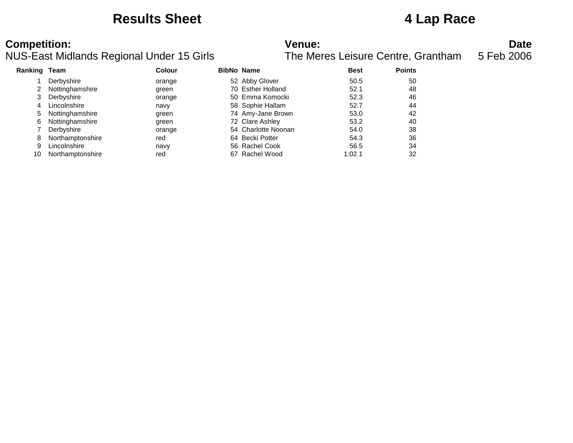### **Results Sheet 4 Lap Race**

### NUS-East Midlands Regional Under 15 Girls

**Competition: Date**<br>**NUS-East Midlands Regional Under 15 Girls Date**<br>**The Meres Leisure Centre, Grantham** 5 Feb 2006

| <b>Ranking Team</b> |                  | <b>Colour</b> | <b>BibNo Name</b>   | <b>Best</b> | <b>Points</b> |
|---------------------|------------------|---------------|---------------------|-------------|---------------|
|                     | Derbyshire       | orange        | 52 Abby Glover      | 50.5        | 50            |
|                     | Nottinghamshire  | green         | 70 Esther Holland   | 52.1        | 48            |
| 3                   | Derbyshire       | orange        | 50 Emma Komocki     | 52.3        | 46            |
| 4                   | Lincolnshire     | navy          | 58 Sophie Hallam    | 52.7        | 44            |
| 5                   | Nottinghamshire  | green         | 74 Amy-Jane Brown   | 53.0        | 42            |
| 6                   | Nottinghamshire  | green         | 72 Clare Ashley     | 53.2        | 40            |
|                     | Derbyshire       | orange        | 54 Charlotte Noonan | 54.0        | 38            |
| 8                   | Northamptonshire | red           | 64 Becki Potter     | 54.3        | 36            |
| 9                   | Lincolnshire     | navy          | 56 Rachel Cook      | 56.5        | 34            |
| 10                  | Northamptonshire | red           | 67 Rachel Wood      | 1:02.1      | 32            |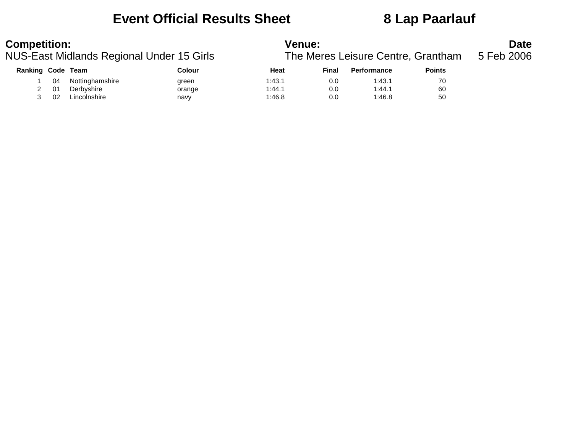# **Event Official Results Sheet 8 Lap Paarlauf**

| <b>Competition:</b><br>NUS-East Midlands Regional Under 15 Girls |     |                 | <b>Venue:</b><br>The Meres Leisure Centre, Grantham | <b>Date</b><br>5 Feb 2006 |       |                    |               |  |
|------------------------------------------------------------------|-----|-----------------|-----------------------------------------------------|---------------------------|-------|--------------------|---------------|--|
| Ranking Code Team                                                |     |                 | Colour                                              | Heat                      | Final | <b>Performance</b> | <b>Points</b> |  |
|                                                                  | 04  | Nottinghamshire | green                                               | 1:43.1                    | 0.0   | 1:43.1             | 70            |  |
|                                                                  | -01 | Derbyshire      | orange                                              | 1:44.1                    | 0.0   | 1:44.1             | 60            |  |
|                                                                  | 02  | Lincolnshire    | navy                                                | 1:46.8                    | 0.0   | 1:46.8             | 50            |  |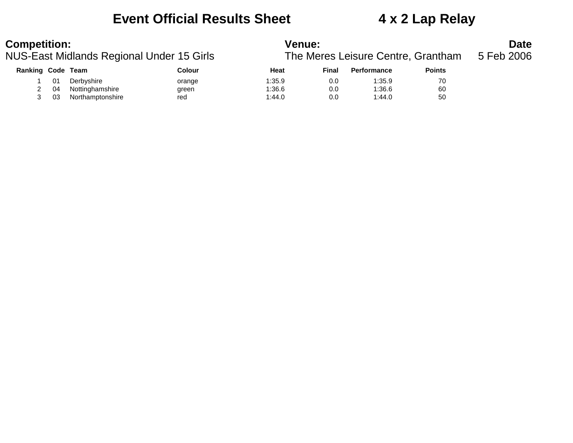# **Event Official Results Sheet 4 x 2 Lap Relay**

| <b>Competition:</b><br>NUS-East Midlands Regional Under 15 Girls |    |                  |        | Venue:<br>The Meres Leisure Centre, Grantham |       |                    |               |  |
|------------------------------------------------------------------|----|------------------|--------|----------------------------------------------|-------|--------------------|---------------|--|
| Ranking Code Team                                                |    |                  | Colour | Heat                                         | Final | <b>Performance</b> | <b>Points</b> |  |
|                                                                  | 01 | Derbyshire       | orange | 1:35.9                                       | 0.0   | 1:35.9             | 70            |  |
|                                                                  | 04 | Nottinghamshire  | green  | 1:36.6                                       | 0.0   | 1:36.6             | 60            |  |
|                                                                  | 03 | Northamptonshire | red    | 1:44.0                                       | 0.0   | 1:44.0             | 50            |  |
|                                                                  |    |                  |        |                                              |       |                    |               |  |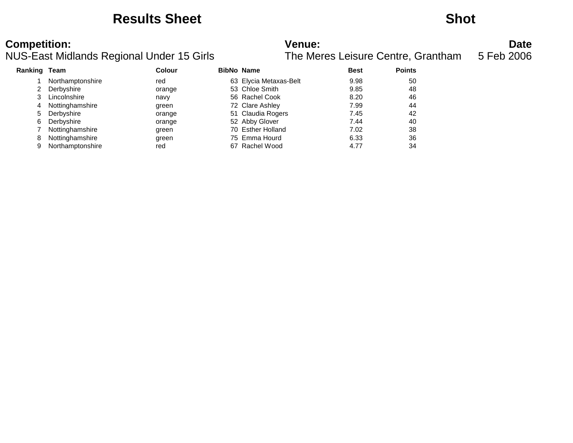### **Results Sheet Shot**

NUS-East Midlands Regional Under 15 Girls

**Competition:**<br>**Date**<br>The Meres Leisure Centre, Grantham 5 Feb 2006<br>The Meres Leisure Centre, Grantham 5 Feb 2006

| <b>Ranking Team</b> |                  | <b>Colour</b> | <b>BibNo Name</b>      | <b>Best</b> | <b>Points</b> |
|---------------------|------------------|---------------|------------------------|-------------|---------------|
|                     | Northamptonshire | red           | 63 Elycia Metaxas-Belt | 9.98        | 50            |
|                     | Derbyshire       | orange        | 53 Chloe Smith         | 9.85        | 48            |
|                     | Lincolnshire     | navy          | 56 Rachel Cook         | 8.20        | 46            |
| 4                   | Nottinghamshire  | green         | 72 Clare Ashley        | 7.99        | 44            |
| 5                   | Derbyshire       | orange        | 51 Claudia Rogers      | 7.45        | 42            |
| 6                   | Derbyshire       | orange        | 52 Abby Glover         | 7.44        | 40            |
|                     | Nottinghamshire  | green         | 70 Esther Holland      | 7.02        | 38            |
| 8                   | Nottinghamshire  | green         | 75 Emma Hourd          | 6.33        | 36            |
|                     | Northamptonshire | red           | 67 Rachel Wood         | 4.77        | 34            |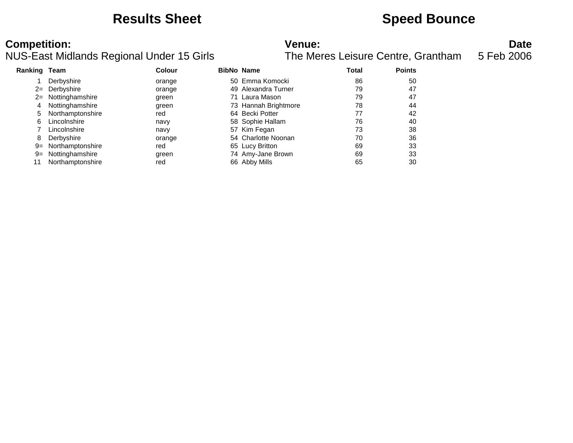### **Results Sheet <b>Speed Bounce Speed Bounce**

| Ranking Team |                    | <b>Colour</b> | <b>BibNo Name</b> |                      | Total | <b>Points</b> |
|--------------|--------------------|---------------|-------------------|----------------------|-------|---------------|
|              | Derbyshire         | orange        |                   | 50 Emma Komocki      | 86    | 50            |
|              | 2= Derbyshire      | orange        |                   | 49 Alexandra Turner  | 79    | 47            |
|              | 2= Nottinghamshire | green         |                   | 71 Laura Mason       | 79    | 47            |
|              | Nottinghamshire    | green         |                   | 73 Hannah Brightmore | 78    | 44            |
| 5            | Northamptonshire   | red           |                   | 64 Becki Potter      | 77    | 42            |
| 6            | Lincolnshire       | navy          |                   | 58 Sophie Hallam     | 76    | 40            |
|              | Lincolnshire       | navy          |                   | 57 Kim Fegan         | 73    | 38            |
| 8            | Derbyshire         | orange        |                   | 54 Charlotte Noonan  | 70    | 36            |
| 9=           | Northamptonshire   | red           |                   | 65 Lucy Britton      | 69    | 33            |
| $9 =$        | Nottinghamshire    | green         |                   | 74 Amy-Jane Brown    | 69    | 33            |
|              | Northamptonshire   | red           |                   | 66 Abby Mills        | 65    | 30            |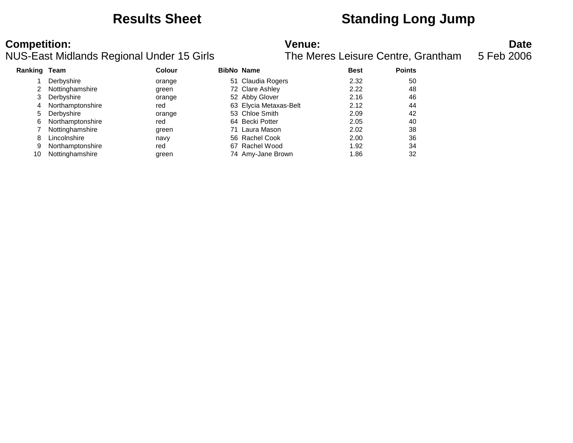# **Results Sheet Standing Long Jump**

| <b>Ranking Team</b> |                  | <b>Colour</b> | <b>BibNo Name</b>      | <b>Best</b> | <b>Points</b> |
|---------------------|------------------|---------------|------------------------|-------------|---------------|
|                     | Derbyshire       | orange        | 51 Claudia Rogers      | 2.32        | 50            |
|                     | Nottinghamshire  | green         | 72 Clare Ashley        | 2.22        | 48            |
| 3                   | Derbyshire       | orange        | 52 Abby Glover         | 2.16        | 46            |
| 4                   | Northamptonshire | red           | 63 Elycia Metaxas-Belt | 2.12        | 44            |
| 5                   | Derbyshire       | orange        | 53 Chloe Smith         | 2.09        | 42            |
| 6                   | Northamptonshire | red           | 64 Becki Potter        | 2.05        | 40            |
|                     | Nottinghamshire  | green         | 71 Laura Mason         | 2.02        | 38            |
| 8                   | Lincolnshire     | navy          | 56 Rachel Cook         | 2.00        | 36            |
| 9                   | Northamptonshire | red           | 67 Rachel Wood         | 1.92        | 34            |
| 10                  | Nottinghamshire  | green         | 74 Amy-Jane Brown      | 1.86        | 32            |